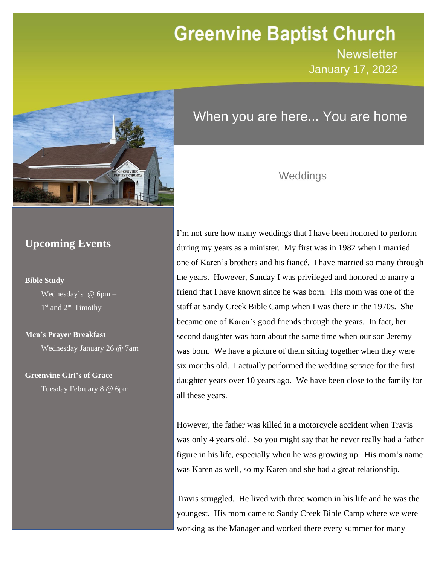# **Greenvine Baptist Church**

**Newsletter January 17, 2022** 

Newsletter



# When you are here... You are home

### Weddings

### **Upcoming Events**

#### **Bible Study**

Wednesday's @ 6pm – 1<sup>st</sup> and 2<sup>nd</sup> Timothy

### **Men's Prayer Breakfast**

Wednesday January 26 @ 7am

### **Greenvine Girl's of Grace**

Tuesday February 8 @ 6pm

I'm not sure how many weddings that I have been honored to perform during my years as a minister. My first was in 1982 when I married one of Karen's brothers and his fiancé. I have married so many through the years. However, Sunday I was privileged and honored to marry a friend that I have known since he was born. His mom was one of the staff at Sandy Creek Bible Camp when I was there in the 1970s. She became one of Karen's good friends through the years. In fact, her second daughter was born about the same time when our son Jeremy was born. We have a picture of them sitting together when they were six months old. I actually performed the wedding service for the first daughter years over 10 years ago. We have been close to the family for all these years.

However, the father was killed in a motorcycle accident when Travis was only 4 years old. So you might say that he never really had a father figure in his life, especially when he was growing up. His mom's name was Karen as well, so my Karen and she had a great relationship.

Travis struggled. He lived with three women in his life and he was the youngest. His mom came to Sandy Creek Bible Camp where we were working as the Manager and worked there every summer for many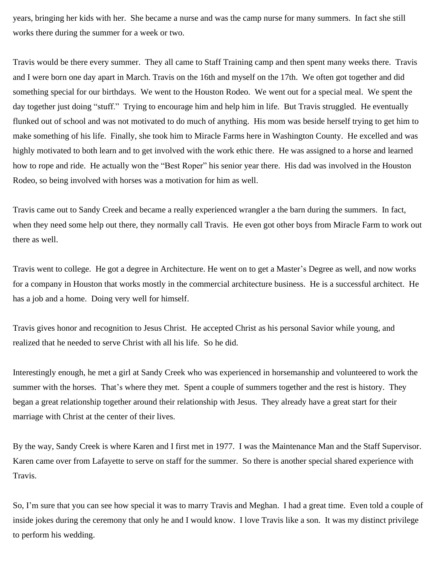years, bringing her kids with her. She became a nurse and was the camp nurse for many summers. In fact she still works there during the summer for a week or two.

Travis would be there every summer. They all came to Staff Training camp and then spent many weeks there. Travis and I were born one day apart in March. Travis on the 16th and myself on the 17th. We often got together and did something special for our birthdays. We went to the Houston Rodeo. We went out for a special meal. We spent the day together just doing "stuff." Trying to encourage him and help him in life. But Travis struggled. He eventually flunked out of school and was not motivated to do much of anything. His mom was beside herself trying to get him to make something of his life. Finally, she took him to Miracle Farms here in Washington County. He excelled and was highly motivated to both learn and to get involved with the work ethic there. He was assigned to a horse and learned how to rope and ride. He actually won the "Best Roper" his senior year there. His dad was involved in the Houston Rodeo, so being involved with horses was a motivation for him as well.

Travis came out to Sandy Creek and became a really experienced wrangler a the barn during the summers. In fact, when they need some help out there, they normally call Travis. He even got other boys from Miracle Farm to work out there as well.

Travis went to college. He got a degree in Architecture. He went on to get a Master's Degree as well, and now works for a company in Houston that works mostly in the commercial architecture business. He is a successful architect. He has a job and a home. Doing very well for himself.

Travis gives honor and recognition to Jesus Christ. He accepted Christ as his personal Savior while young, and realized that he needed to serve Christ with all his life. So he did.

Interestingly enough, he met a girl at Sandy Creek who was experienced in horsemanship and volunteered to work the summer with the horses. That's where they met. Spent a couple of summers together and the rest is history. They began a great relationship together around their relationship with Jesus. They already have a great start for their marriage with Christ at the center of their lives.

By the way, Sandy Creek is where Karen and I first met in 1977. I was the Maintenance Man and the Staff Supervisor. Karen came over from Lafayette to serve on staff for the summer. So there is another special shared experience with Travis.

So, I'm sure that you can see how special it was to marry Travis and Meghan. I had a great time. Even told a couple of inside jokes during the ceremony that only he and I would know. I love Travis like a son. It was my distinct privilege to perform his wedding.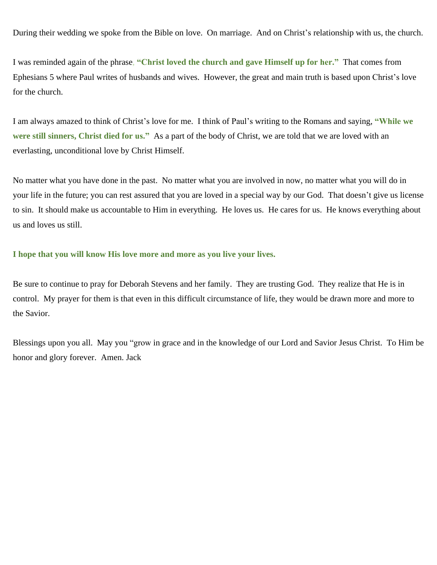During their wedding we spoke from the Bible on love. On marriage. And on Christ's relationship with us, the church.

I was reminded again of the phrase, **"Christ loved the church and gave Himself up for her."** That comes from Ephesians 5 where Paul writes of husbands and wives. However, the great and main truth is based upon Christ's love for the church.

I am always amazed to think of Christ's love for me. I think of Paul's writing to the Romans and saying, **"While we were still sinners, Christ died for us."** As a part of the body of Christ, we are told that we are loved with an everlasting, unconditional love by Christ Himself.

No matter what you have done in the past. No matter what you are involved in now, no matter what you will do in your life in the future; you can rest assured that you are loved in a special way by our God. That doesn't give us license to sin. It should make us accountable to Him in everything. He loves us. He cares for us. He knows everything about us and loves us still.

#### **I hope that you will know His love more and more as you live your lives.**

Be sure to continue to pray for Deborah Stevens and her family. They are trusting God. They realize that He is in control. My prayer for them is that even in this difficult circumstance of life, they would be drawn more and more to the Savior.

Blessings upon you all. May you "grow in grace and in the knowledge of our Lord and Savior Jesus Christ. To Him be honor and glory forever. Amen. Jack